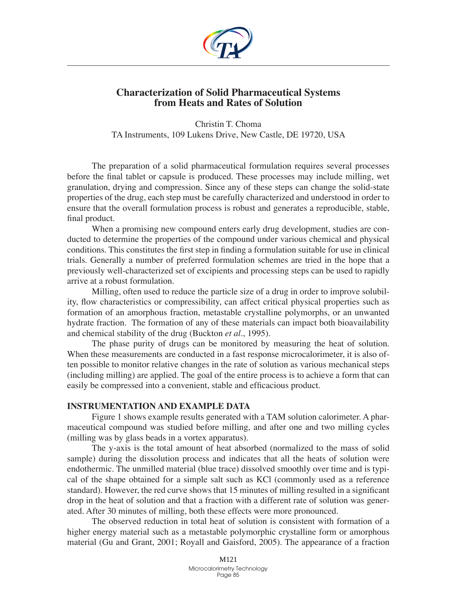

## **Characterization of Solid Pharmaceutical Systems from Heats and Rates of Solution**

Christin T. Choma TA Instruments, 109 Lukens Drive, New Castle, DE 19720, USA

The preparation of a solid pharmaceutical formulation requires several processes before the final tablet or capsule is produced. These processes may include milling, wet granulation, drying and compression. Since any of these steps can change the solid-state properties of the drug, each step must be carefully characterized and understood in order to ensure that the overall formulation process is robust and generates a reproducible, stable, final product.

When a promising new compound enters early drug development, studies are conducted to determine the properties of the compound under various chemical and physical conditions. This constitutes the first step in finding a formulation suitable for use in clinical trials. Generally a number of preferred formulation schemes are tried in the hope that a previously well-characterized set of excipients and processing steps can be used to rapidly arrive at a robust formulation.

Milling, often used to reduce the particle size of a drug in order to improve solubility, flow characteristics or compressibility, can affect critical physical properties such as formation of an amorphous fraction, metastable crystalline polymorphs, or an unwanted hydrate fraction. The formation of any of these materials can impact both bioavailability and chemical stability of the drug (Buckton *et al*., 1995).

The phase purity of drugs can be monitored by measuring the heat of solution. When these measurements are conducted in a fast response microcalorimeter, it is also often possible to monitor relative changes in the rate of solution as various mechanical steps (including milling) are applied. The goal of the entire process is to achieve a form that can easily be compressed into a convenient, stable and efficacious product.

## **Instrumentation and Example Data**

Figure 1 shows example results generated with a TAM solution calorimeter. A pharmaceutical compound was studied before milling, and after one and two milling cycles (milling was by glass beads in a vortex apparatus).

The y-axis is the total amount of heat absorbed (normalized to the mass of solid sample) during the dissolution process and indicates that all the heats of solution were endothermic. The unmilled material (blue trace) dissolved smoothly over time and is typical of the shape obtained for a simple salt such as KCl (commonly used as a reference standard). However, the red curve shows that 15 minutes of milling resulted in a significant drop in the heat of solution and that a fraction with a different rate of solution was generated. After 30 minutes of milling, both these effects were more pronounced.

The observed reduction in total heat of solution is consistent with formation of a higher energy material such as a metastable polymorphic crystalline form or amorphous material (Gu and Grant, 2001; Royall and Gaisford, 2005). The appearance of a fraction